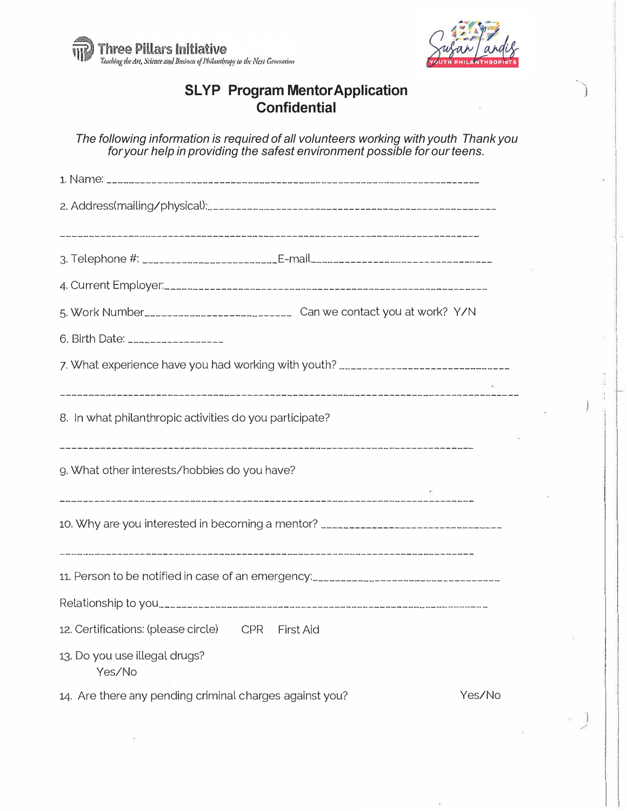



## **SLYP Program MentorApplication Confidential**

*The following information is required of all volunteers working with youth Thank you for your help in providing the safest environment possible for our teens.* 

| 3. Telephone #: ________________________E-mail__________________________________ |        |  |
|----------------------------------------------------------------------------------|--------|--|
|                                                                                  |        |  |
| 5. Work Number______________________________ Can we contact you at work? Y/N     |        |  |
| 6. Birth Date: ___________________                                               |        |  |
| 7. What experience have you had working with youth? ____________________________ |        |  |
| 8. In what philanthropic activities do you participate?                          |        |  |
| g. What other interests/hobbies do you have?                                     |        |  |
| 10. Why are you interested in becoming a mentor? _______________________________ |        |  |
|                                                                                  |        |  |
|                                                                                  |        |  |
| 12. Certifications: (please circle) CPR First Aid                                |        |  |
| 13. Do you use illegal drugs?<br>Yes/No                                          |        |  |
| 14. Are there any pending criminal charges against you?                          | Yes/No |  |